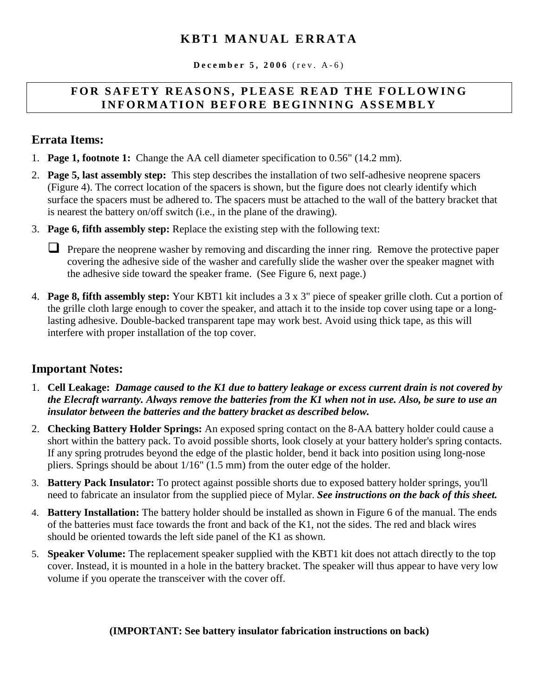## **KBT1 MANUAL ERRATA**

 $December 5, 2006 (rev. A-6)$ 

#### FOR SAFETY REASONS, PLEASE READ THE FOLLOWING **INFORMATION BEFORE BEGINNING ASSEMBLY**

## **Errata Items:**

- 1. **Page 1, footnote 1:** Change the AA cell diameter specification to 0.56" (14.2 mm).
- 2. **Page 5, last assembly step:** This step describes the installation of two self-adhesive neoprene spacers (Figure 4). The correct location of the spacers is shown, but the figure does not clearly identify which surface the spacers must be adhered to. The spacers must be attached to the wall of the battery bracket that is nearest the battery on/off switch (i.e., in the plane of the drawing).
- 3. **Page 6, fifth assembly step:** Replace the existing step with the following text:

**Prepare the neoprene washer by removing and discarding the inner ring. Remove the protective paper** covering the adhesive side of the washer and carefully slide the washer over the speaker magnet with the adhesive side toward the speaker frame. (See Figure 6, next page.)

4. **Page 8, fifth assembly step:** Your KBT1 kit includes a 3 x 3" piece of speaker grille cloth. Cut a portion of the grille cloth large enough to cover the speaker, and attach it to the inside top cover using tape or a longlasting adhesive. Double-backed transparent tape may work best. Avoid using thick tape, as this will interfere with proper installation of the top cover.

## **Important Notes:**

- 1. **Cell Leakage:** *Damage caused to the K1 due to battery leakage or excess current drain is not covered by the Elecraft warranty. Always remove the batteries from the K1 when not in use. Also, be sure to use an insulator between the batteries and the battery bracket as described below.*
- 2. **Checking Battery Holder Springs:** An exposed spring contact on the 8-AA battery holder could cause a short within the battery pack. To avoid possible shorts, look closely at your battery holder's spring contacts. If any spring protrudes beyond the edge of the plastic holder, bend it back into position using long-nose pliers. Springs should be about 1/16" (1.5 mm) from the outer edge of the holder.
- 3. **Battery Pack Insulator:** To protect against possible shorts due to exposed battery holder springs, you'll need to fabricate an insulator from the supplied piece of Mylar. *See instructions on the back of this sheet.*
- 4. **Battery Installation:** The battery holder should be installed as shown in Figure 6 of the manual. The ends of the batteries must face towards the front and back of the K1, not the sides. The red and black wires should be oriented towards the left side panel of the K1 as shown.
- 5. **Speaker Volume:** The replacement speaker supplied with the KBT1 kit does not attach directly to the top cover. Instead, it is mounted in a hole in the battery bracket. The speaker will thus appear to have very low volume if you operate the transceiver with the cover off.